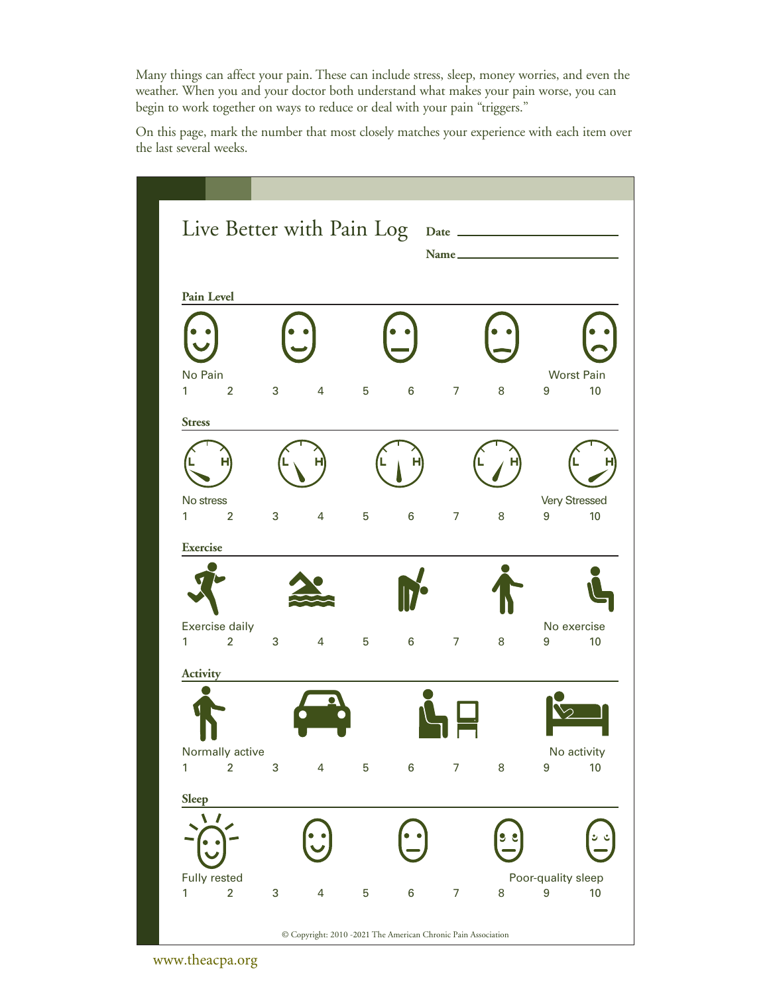Many things can affect your pain. These can include stress, sleep, money worries, and even the weather. When you and your doctor both understand what makes your pain worse, you can begin to work together on ways to reduce or deal with your pain "triggers."

On this page, mark the number that most closely matches your experience with each item over the last several weeks.

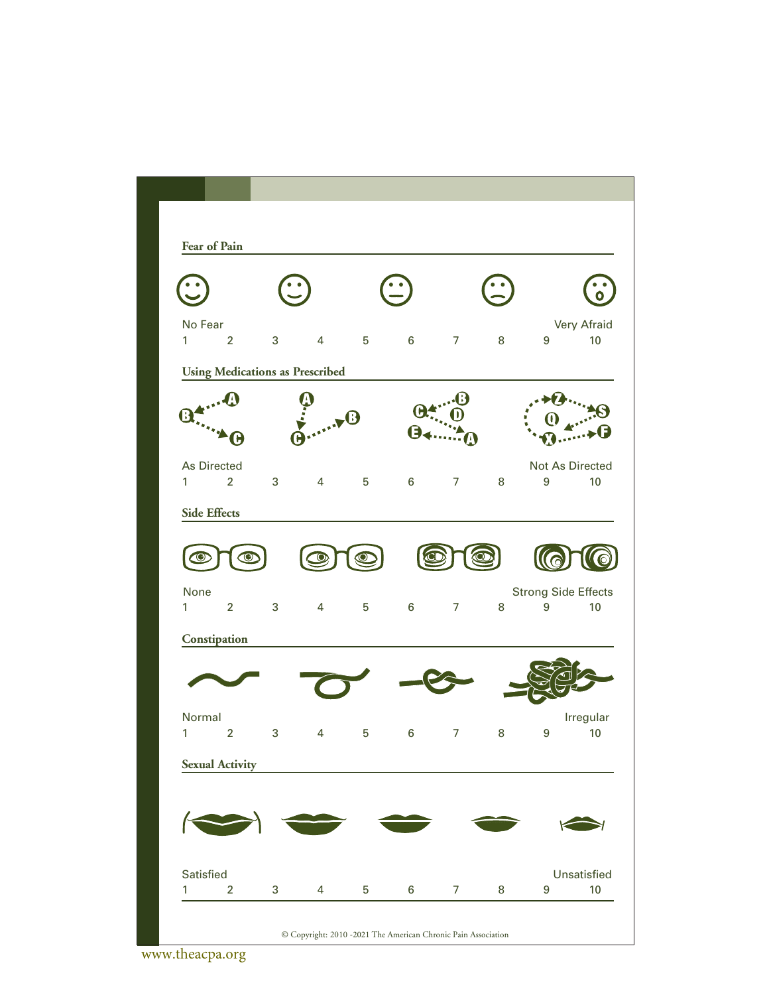

www.theacpa.org